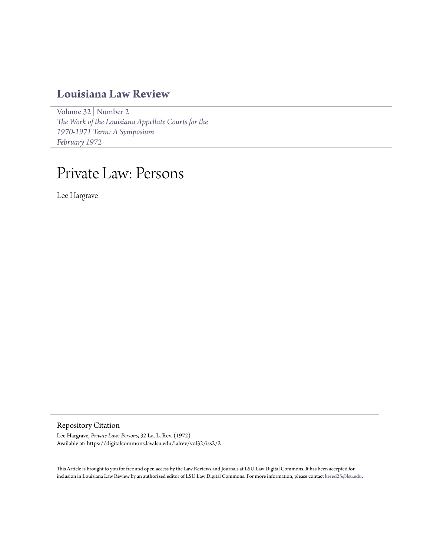## **[Louisiana Law Review](https://digitalcommons.law.lsu.edu/lalrev)**

[Volume 32](https://digitalcommons.law.lsu.edu/lalrev/vol32) | [Number 2](https://digitalcommons.law.lsu.edu/lalrev/vol32/iss2) *[The Work of the Louisiana Appellate Courts for the](https://digitalcommons.law.lsu.edu/lalrev/vol32/iss2) [1970-1971 Term: A Symposium](https://digitalcommons.law.lsu.edu/lalrev/vol32/iss2) [February 1972](https://digitalcommons.law.lsu.edu/lalrev/vol32/iss2)*

# Private Law: Persons

Lee Hargrave

Repository Citation

Lee Hargrave, *Private Law: Persons*, 32 La. L. Rev. (1972) Available at: https://digitalcommons.law.lsu.edu/lalrev/vol32/iss2/2

This Article is brought to you for free and open access by the Law Reviews and Journals at LSU Law Digital Commons. It has been accepted for inclusion in Louisiana Law Review by an authorized editor of LSU Law Digital Commons. For more information, please contact [kreed25@lsu.edu](mailto:kreed25@lsu.edu).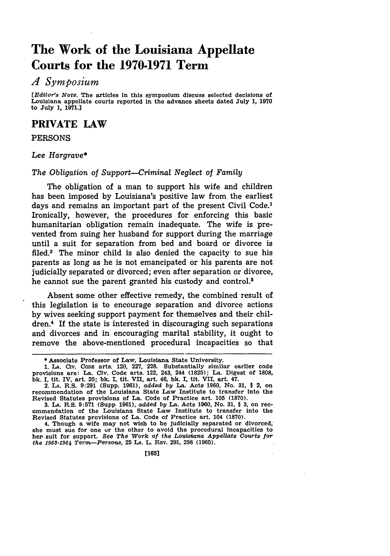# **The Work of the Louisiana Appellate Courts for the 1970-1971 Term**

## *A Symposium*

*[Editor's Note.* The articles in this symposium discuss selected decisions of Louisiana appellate courts reported in the advance sheets dated July **1, 1970** to July **1, 1971.J**

### **PRIVATE LAW**

#### **PERSONS**

#### *Lee Hargrave\**

#### *The Obligation of Support--Criminal Neglect of Family*

The obligation of a man to support his wife and children has been imposed **by** Louisiana's positive law from the earliest days and remains an important part of the present Civil Code.<sup>1</sup> Ironically, however, the procedures for enforcing this basic humanitarian obligation remain inadequate. The wife is prevented from suing her husband for support during the marriage until a suit for separation from bed and board or divorce is filed.2 The minor child is also denied the capacity to sue his parents as long as he is not emancipated or his parents are not judicially separated or divorced; even after separation or divorce, he cannot sue the parent granted his custody and control.<sup>8</sup>

Absent some other effective remedy, the combined result of this legislation is to encourage separation and divorce actions **by** wives seeking support payment for themselves and their children.4 If the state is interested in discouraging such separations and divorces and in encouraging marital stability, it ought to remove the above-mentioned procedural incapacities so that

**<sup>\*</sup>** Associate Professor of Law, Louisiana State University.

**<sup>1.</sup> LA. CIv. CODE** arts. 120, **227, 228.** Substantially similar earlier code provisions are: La. Civ. Code arts. 122, 243, 244 **(1825);** La. Digest of **1808, bk. I,** tit. IV, art. 20; **bk. I,** tit. VII, art. 46, **bk. I,** tit. VII, art. 47.

<sup>2.</sup> **LA.** R.S. **9:291** (Supp. **1961),** *added by* La. Acts **1960,** No. **31, §** 2, on recommendation of the Louisiana State Law Institute to transfer into the Revised Statutes provisions of La. Code of Practice art. **105 (1870).**

**<sup>3.</sup>** *IA.* R.S. **9:571** (Supp. **1961),** *added by* La. Acts **1960,** No. **31, § 3,** on rec-ommendation of the Louisiana State Law Institute to transfer into the Revised Statutes provisions of La. Code of Practice art. 104 **(1870).**

<sup>4.</sup> Though a wife may not wish to be judicially separated or divorced, she must sue for one ur the other to avoid the procedural incapacities to her suit for support. See The Work of the Louisiana Appellate Courts for *the 1963-1964 Term-Persons,* **25 LA. L. REV. 291, 298 (1965).**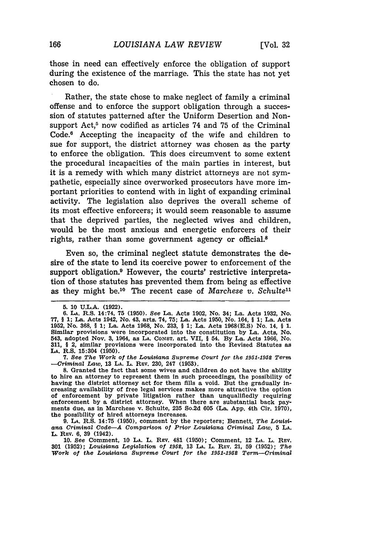those in need can effectively enforce the obligation of support during the existence of the marriage. This the state has not yet chosen to do.

Rather, the state chose to make neglect of family a criminal offense and to enforce the support obligation through a succession of statutes patterned after the Uniform Desertion and Nonsupport Act,<sup>5</sup> now codified as articles 74 and 75 of the Criminal Code.<sup>6</sup> Accepting the incapacity of the wife and children to sue for support, the district attorney was chosen as the party to enforce the obligation. This does circumvent to some extent the procedural incapacities of the main parties in interest, but it is a remedy with which many district attorneys are not sympathetic, especially since overworked prosecutors have more important priorities to contend with in light of expanding criminal activity. The legislation also deprives the overall scheme of its most effective enforcers; it would seem reasonable to assume that the deprived parties, the neglected wives and children, would be the most anxious and energetic enforcers of their rights, rather than some government agency or official.8

Even so, the criminal neglect statute demonstrates the desire of the state to lend its coercive power to enforcement of the support obligation.<sup>9</sup> However, the courts' restrictive interpretation of those statutes has prevented them from being as effective as they might be.10 The recent case of *Marchese v. Schulte"*

**7.** *See The Work of the Louisiana Supreme Court for the 1951-1952 Term -Criminal Law,* **13 LA.** L. **REv.** 230, 247 **(1953).**

**8.** Granted the fact that some wives and children do not have the ability to hire an attorney to represent them In such proceedings, the possibility of having the district attorney act for them fills a void. But the gradually increasing availability of free legal services makes more attractive the option of enforcement by private litigation rather than unqualifiedly requiring enforcement by a district attorney. When there are substantial back payments due, as in Marchese v. Schulte, **235** So.2d 605 (La. App. 4th Cir. 1970), the possibility of hired attorneys increases.

**9. LA.** R.S. 14:75 (1950), comment by the reporters; Bennett, *The Louisiana Criminal Code-A Comparison of Prior Louisiana Criminal Law,* **5 LA.** L. REv. 6, **39** (1942).

10. *See* Comment, **10 LA.** L. REV. 481 (1950); Comment, 12 **LA.** L. REV. **301** (1952); *Louisiana Legislation of 1952,* **13 LA.** L. **REV.** 21, 59 (1952); *The Work of the Louisiana Supreme Court for the 1951-1952 Term-Criminal*

**<sup>5.</sup>** 10 U.L.A. (1922).

<sup>6.</sup> La. R.S. 14:74, 75 (1950). See La. Acts 1902, No. 34; La. Acts 1932, No.<br>77, § 1; La. Acts 1942, No. 43, arts. 74, 75; La. Acts 1950, No. 164, § 1; La. Acts<br>1952, No. 368, § 1; La. Acts 1968, No. 233, § 1; La. Acts 1968 Similar provisions were incorporated into the constitution **by** La. Acts, No. 543, adopted Nov. **3,** 1964, as **LA. CONST.** art. VII, § 54. **By** La. Acts **1966,** No. **311,** § 2, similar provisions were incorporated into the Revised Statutes as **LA.** R.S. 15:304 **(1950).**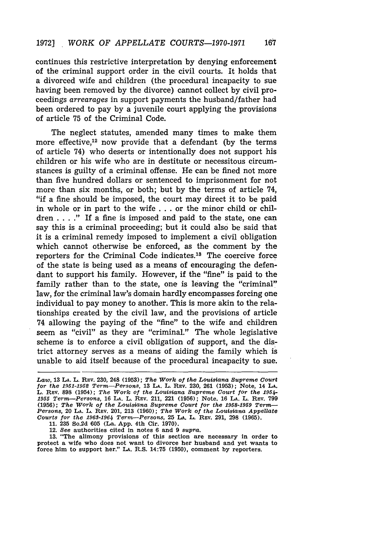continues this restrictive interpretation by denying enforcement of the criminal support order in the civil courts. It holds that a divorced wife and children (the procedural incapacity to sue having been removed by the divorce) cannot collect by civil proceedings *arrearages* in support payments the husband/father had been ordered to pay by a juvenile court applying the provisions of article 75 of the Criminal Code.

The neglect statutes, amended many times to make them more effective, $12$  now provide that a defendant (by the terms of article 74) who deserts or intentionally does not support his children or his wife who are in destitute or necessitous circumstances is guilty of a criminal offense. He can be fined not more than five hundred dollars or sentenced to imprisonment for not more than six months, or both; but by the terms of article 74, "if a fine should be imposed, the court may direct it to be paid in whole or in part to the wife . . . or the minor child or children . **. . ."** If a fine is imposed and paid to the state, one can say this is a criminal proceeding; but it could also be said that it is a criminal remedy imposed to implement a civil obligation which cannot otherwise be enforced, as the comment by the reporters for the Criminal Code indicates.13 The coercive force of the state is being used as a means of encouraging the defendant to support his family. However, if the "fine" is paid to the family rather than to the state, one is leaving the "criminal" law, for the criminal law's domain hardly encompasses forcing one individual to pay money to another. This is more akin to the relationships created by the civil law, and the provisions of article 74 allowing the paying of the "fine" to the wife and children seem as "civil" as they are "criminal." The whole legislative scheme is to enforce a civil obligation of support, and the district attorney serves as a means of aiding the family which is unable to aid itself because of the procedural incapacity to sue.

13. "The alimony provisions of this section are necessary in order to protect a wife who does not want to divorce her husband and yet wants to force him to support her." IA. R.S. 14:75 (1950), comment by reporters.

Law, 13 LA. L. REV. 230, 248 (1953); The Work of the Louisiana Supreme Court<br>for the 1951-1952 Term—Persons, 13 LA. L. REV. 230, 261 (1953); Note, 14 LA.<br>L. REV. 898 (1954); The Work of the Louisiana Supreme Court for the *<sup>1955</sup>Term-Persons,* <sup>16</sup>**LA.** L. REv. 211, 221 (1956); Note, 16 **LA.** L. REv. 799 **(1956);** *The Work of the Louisiana Supreme Court for the 1958-1959 Term-Persons,* 20 LA. L. REv. 201, 213 (1960); *The Work of the Louisiana Appellate Courts for the 1968-1964 Term-Persons,* 25 LA. L. REV. 291, 298 (1965).

<sup>11. 235</sup> So.2d 605 (La. App. 4th Cir. 1970).

<sup>12.</sup> *See* authorities cited in notes 6 and 9 *supra.*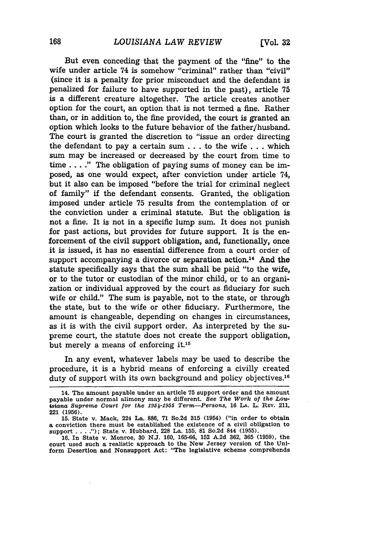But even conceding that the payment of the "fine" to the wife under article 74 is somehow "criminal" rather than "civil" (since it is a penalty for prior misconduct and the defendant is penalized for failure to have supported in the past), article **75** is a different creature altogether. The article creates another option for the court, an option that is not termed a fine. Rather than, or in addition to, the fine provided, the court is granted an option which looks to the future behavior of the father/husband. The court is granted the discretion to "issue an order directing the defendant to pay a certain sum **...** to the wife **. . .**which sum may be increased or decreased **by** the court from time to time... **."** The obligation of paying sums of money can be imposed, as one would expect, after conviction under article 74, but it also can be imposed "before the trial for criminal neglect of family" if the defendant consents. Granted, the obligation imposed under article 75 results from the contemplation of or the conviction under a criminal statute. But the obligation is not a fine. It is not in a specific lump sum. It does not punish for past actions, but provides for future support. It is the enforcement of the civil support obligation, and, functionally, once it is issued, it has no essential difference from a court order of support accompanying a divorce or separation action.<sup>14</sup> And the statute specifically says that the sum shall be paid "to the wife, or to the tutor or custodian of the minor child, or to an organization or individual approved **by** the court as fiduciary for such wife or child." The sum is payable, not to the state, or through the state, but to the wife or other fiduciary. Furthermore, the amount is changeable, depending on changes in circumstances, as it is with the civil support order. As interpreted **by** the supreme court, the statute does not create the support obligation, but merely a means of enforcing it.15

In any event, whatever labels may be used to describe the procedure, it is a hybrid means of enforcing a civilly created duty of support with its own background and policy objectives.<sup>16</sup>

<sup>14.</sup> The amount payable under an article **75** support order and the amount payable under normal alimony may be different. **See** *The Work of the Lou-isiana Supreme Court for the 1954-1955 Term-Persons,* **16 LA.** L. REV. 211, 221 (1956).

<sup>15.</sup> State v. Mack, 224 La. 886, 71 So.2d 315 (1954) ("in order to obtain a conviction there must be established the existence of a civil obligation to support . . . ."); State v. Hubbard, 228 La. 155, 81 So.2d 844 (1955).

<sup>16.</sup> In State v. Monroe, 30 N.J. 160, 165-66, 152 A.2d 362, 365 (1959), the court used such a realistic approach to the New Jersey version of the Uniform Desertion and Nonsupport Act: "The legislative scheme comprehends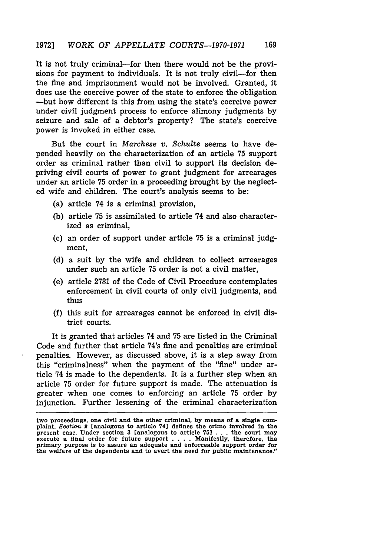It is not truly criminal—for then there would not be the provisions for payment to individuals. It is not truly civil-for then the fine and imprisonment would not be involved. Granted, it does use the coercive power of the state to enforce the obligation -but how different is this from using the state's coercive power under civil judgment process to enforce alimony judgments by seizure and sale of a debtor's property? The state's coercive power is invoked in either case.

But the court in *Marchese v. Schulte* seems to have depended heavily on the characterization of an article 75 support order as criminal rather than civil to support its decision depriving civil courts of power to grant judgment for arrearages under an article 75 order in a proceeding brought by the neglected wife and children. The court's analysis seems to be:

- (a) article 74 is a criminal provision,
- (b) article 75 is assimilated to article 74 and also characterized as criminal,
- (c) an order of support under article 75 is a criminal judgment,
- (d) a suit by the wife and children to collect arrearages under such an article 75 order is not a civil matter,
- (e) article 2781 of the Code of Civil Procedure contemplates enforcement in civil courts of only civil judgments, and thus
- (f) this suit for arrearages cannot be enforced in civil district courts.

It is granted that articles 74 and 75 are listed in the Criminal Code and further that article 74's fine and penalties are criminal penalties. However, as discussed above, it is a step away from this "criminalness" when the payment of the "fine" under article 74 is made to the dependents. It is a further step when an article 75 order for future support is made. The attenuation is greater when one comes to enforcing an article 75 order by injunction. Further lessening of the criminal characterization

two proceedings, one civil and the other criminal, by means of a single complaint. *Section* 2 [analogous to article 74] defines the crime involved in the present case. Under section 3 [analogous to article 75]  $\ldots$  the execute a final order for future support . **. .** . Manifestly, therefore, the primary purpose is to assure an adequate and enforceable support order for the welfare of the dependents and to avert the need for public maintenance."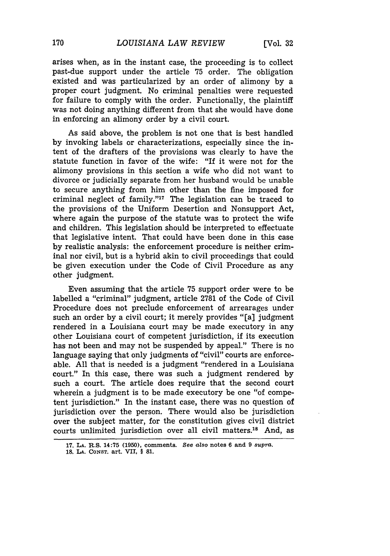arises when, as in the instant case, the proceeding is to collect past-due support under the article 75 order. The obligation existed and was particularized by an order of alimony by a proper court judgment. No criminal penalties were requested for failure to comply with the order. Functionally, the plaintiff was not doing anything different from that she would have done in enforcing an alimony order by a civil court.

As said above, the problem is not one that is best handled by invoking labels or characterizations, especially since the intent of the drafters of the provisions was clearly to have the statute function in favor of the wife: "If it were not for the alimony provisions in this section a wife who did not want to divorce or judicially separate from her husband would be unable to secure anything from him other than the fine imposed for criminal neglect of family."<sup>17</sup> The legislation can be traced to the provisions of the Uniform Desertion and Nonsupport Act, where again the purpose of the statute was to protect the wife and children. This legislation should be interpreted to effectuate that legislative intent. That could have been done in this case by realistic analysis: the enforcement procedure is neither criminal nor civil, but is a hybrid akin to civil proceedings that could be given execution under the Code of Civil Procedure as any other judgment.

Even assuming that the article 75 support order were to be labelled a "criminal" judgment, article 2781 of the Code of Civil Procedure does not preclude enforcement of arrearages under such an order by a civil court; it merely provides "[a] judgment rendered in a Louisiana court may be made executory in any other Louisiana court of competent jurisdiction, if its execution has not been and may not be suspended by appeal." There is no language saying that only judgments of "civil" courts are enforceable. All that is needed is a judgment "rendered in a Louisiana court." In this case, there was such a judgment rendered by such a court. The article does require that the second court wherein a judgment is to be made executory be one "of competent jurisdiction." In the instant case, there was no question of jurisdiction over the person. There would also be jurisdiction over the subject matter, for the constitution gives civil district courts unlimited jurisdiction over all civil matters.'8 And, as

<sup>17.</sup> LA. R.S. 14:75 (1950), comments. See also notes 6 and 9 *supra*. **18. LA. CONST.** art. VII, § **81.**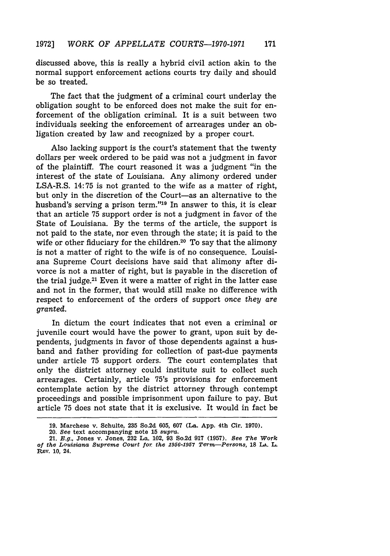discussed above, this is really a hybrid civil action akin to the normal support enforcement actions courts try daily and should be so treated.

The fact that the judgment of a criminal court underlay the obligation sought to be enforced does not make the suit for enforcement of the obligation criminal. It is a suit between two individuals seeking the enforcement of arrearages under an obligation created by law and recognized by a proper court.

Also lacking support is the court's statement that the twenty dollars per week ordered to be paid was not a judgment in favor of the plaintiff. The court reasoned it was a judgment "in the interest of the state of Louisiana. Any alimony ordered under LSA-R.S. 14:75 is not granted to the wife as a matter of right, but only in the discretion of the Court-as an alternative to the husband's serving a prison term."'19 In answer to this, it is clear that an article 75 support order is not a judgment in favor of the State of Louisiana. By the terms of the article, the support is not paid to the state, nor even through the state; it is paid to the wife or other fiduciary for the children.<sup>20</sup> To say that the alimony is not a matter of right to the wife is of no consequence. Louisiana Supreme Court decisions have said that alimony after divorce is not a matter of right, but is payable in the discretion of the trial judge. $21$  Even it were a matter of right in the latter case and not in the former, that would still make no difference with respect to enforcement of the orders of support once *they* are granted.

In dictum the court indicates that not even a criminal or juvenile court would have the power to grant, upon suit by dependents, judgments in favor of those dependents against a husband and father providing for collection of past-due payments under article 75 support orders. The court contemplates that only the district attorney could institute suit to collect such arrearages. Certainly, article 75's provisions for enforcement contemplate action by the district attorney through contempt proceedings and possible imprisonment upon failure to pay. But article 75 does not state that it is exclusive. It would in fact be

**<sup>19.</sup> Marchese v. Schulte, 235 So.2d 605, 607 (La. App. 4th Cir. 1970).**

<sup>20.</sup> See text accompanying note **15** *supra.*

**<sup>21.</sup>** *E.g.,* Jones v. Jones, **232** La. 102, **93** So.2d **917 (1957).** *See The Work of the Louisiana Supreme Court for. the 1956-1957 Term-Persons,* **18** LA. L. Rov. **10,** 24.